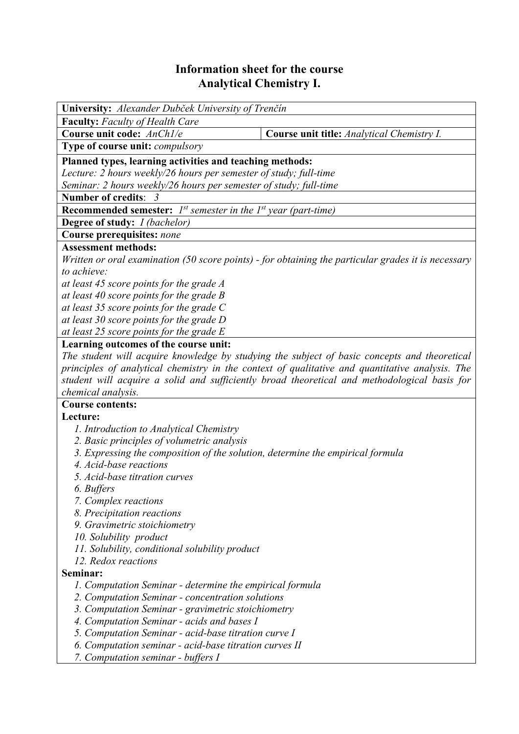## **Information sheet for the course Analytical Chemistry I.**

| <b>University:</b> Alexander Dubček University of Trenčín                                           |                                            |  |  |  |  |
|-----------------------------------------------------------------------------------------------------|--------------------------------------------|--|--|--|--|
| <b>Faculty:</b> Faculty of Health Care                                                              |                                            |  |  |  |  |
| Course unit code: AnCh1/e                                                                           | Course unit title: Analytical Chemistry I. |  |  |  |  |
| Type of course unit: <i>compulsory</i>                                                              |                                            |  |  |  |  |
| Planned types, learning activities and teaching methods:                                            |                                            |  |  |  |  |
| Lecture: 2 hours weekly/26 hours per semester of study; full-time                                   |                                            |  |  |  |  |
| Seminar: 2 hours weekly/26 hours per semester of study; full-time                                   |                                            |  |  |  |  |
| Number of credits: 3                                                                                |                                            |  |  |  |  |
| <b>Recommended semester:</b> $I^{st}$ semester in the $I^{st}$ year (part-time)                     |                                            |  |  |  |  |
| Degree of study: <i>I (bachelor)</i>                                                                |                                            |  |  |  |  |
| Course prerequisites: none                                                                          |                                            |  |  |  |  |
| <b>Assessment methods:</b>                                                                          |                                            |  |  |  |  |
| Written or oral examination (50 score points) - for obtaining the particular grades it is necessary |                                            |  |  |  |  |
| to achieve:                                                                                         |                                            |  |  |  |  |
| at least 45 score points for the grade A                                                            |                                            |  |  |  |  |
| at least 40 score points for the grade $B$                                                          |                                            |  |  |  |  |
| at least 35 score points for the grade $C$                                                          |                                            |  |  |  |  |
| at least 30 score points for the grade D                                                            |                                            |  |  |  |  |
| at least 25 score points for the grade $E$                                                          |                                            |  |  |  |  |
| Learning outcomes of the course unit:                                                               |                                            |  |  |  |  |
| The student will acquire knowledge by studying the subject of basic concepts and theoretical        |                                            |  |  |  |  |
| principles of analytical chemistry in the context of qualitative and quantitative analysis. The     |                                            |  |  |  |  |
| student will acquire a solid and sufficiently broad theoretical and methodological basis for        |                                            |  |  |  |  |
| chemical analysis.                                                                                  |                                            |  |  |  |  |
| <b>Course contents:</b>                                                                             |                                            |  |  |  |  |
| Lecture:                                                                                            |                                            |  |  |  |  |
| 1. Introduction to Analytical Chemistry                                                             |                                            |  |  |  |  |
| 2. Basic principles of volumetric analysis                                                          |                                            |  |  |  |  |
| 3. Expressing the composition of the solution, determine the empirical formula                      |                                            |  |  |  |  |
| 4. Acid-base reactions                                                                              |                                            |  |  |  |  |
| 5. Acid-base titration curves                                                                       |                                            |  |  |  |  |
| 6. Buffers                                                                                          |                                            |  |  |  |  |
| 7. Complex reactions                                                                                |                                            |  |  |  |  |
| 8. Precipitation reactions                                                                          |                                            |  |  |  |  |
| 9. Gravimetric stoichiometry<br>10. Solubility product                                              |                                            |  |  |  |  |
| 11. Solubility, conditional solubility product                                                      |                                            |  |  |  |  |
| 12. Redox reactions                                                                                 |                                            |  |  |  |  |
| Seminar:                                                                                            |                                            |  |  |  |  |
| 1. Computation Seminar - determine the empirical formula                                            |                                            |  |  |  |  |
| 2. Computation Seminar - concentration solutions                                                    |                                            |  |  |  |  |
| 3. Computation Seminar - gravimetric stoichiometry                                                  |                                            |  |  |  |  |
| 4. Computation Seminar - acids and bases I                                                          |                                            |  |  |  |  |
| 5. Computation Seminar - acid-base titration curve I                                                |                                            |  |  |  |  |
| 6. Computation seminar - acid-base titration curves II                                              |                                            |  |  |  |  |
| 7. Computation seminar - buffers I                                                                  |                                            |  |  |  |  |